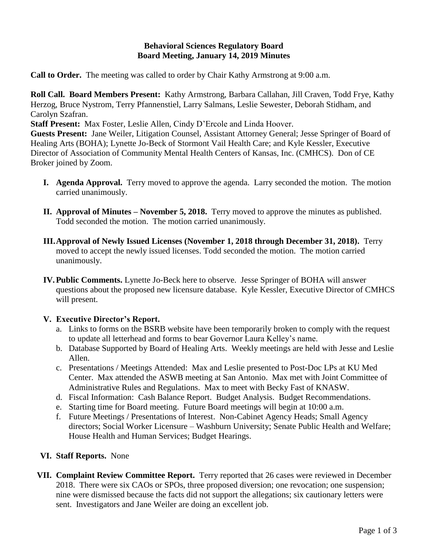#### **Behavioral Sciences Regulatory Board Board Meeting, January 14, 2019 Minutes**

**Call to Order.** The meeting was called to order by Chair Kathy Armstrong at 9:00 a.m.

**Roll Call. Board Members Present:** Kathy Armstrong, Barbara Callahan, Jill Craven, Todd Frye, Kathy Herzog, Bruce Nystrom, Terry Pfannenstiel, Larry Salmans, Leslie Sewester, Deborah Stidham, and Carolyn Szafran.

**Staff Present:** Max Foster, Leslie Allen, Cindy D'Ercole and Linda Hoover.

**Guests Present:** Jane Weiler, Litigation Counsel, Assistant Attorney General; Jesse Springer of Board of Healing Arts (BOHA); Lynette Jo-Beck of Stormont Vail Health Care; and Kyle Kessler, Executive Director of Association of Community Mental Health Centers of Kansas, Inc. (CMHCS). Don of CE Broker joined by Zoom.

- **I. Agenda Approval.** Terry moved to approve the agenda. Larry seconded the motion. The motion carried unanimously.
- **II. Approval of Minutes – November 5, 2018.** Terry moved to approve the minutes as published. Todd seconded the motion. The motion carried unanimously.
- **III.Approval of Newly Issued Licenses (November 1, 2018 through December 31, 2018).** Terry moved to accept the newly issued licenses. Todd seconded the motion. The motion carried unanimously.
- **IV.Public Comments.** Lynette Jo-Beck here to observe. Jesse Springer of BOHA will answer questions about the proposed new licensure database. Kyle Kessler, Executive Director of CMHCS will present.

# **V. Executive Director's Report.**

- a. Links to forms on the BSRB website have been temporarily broken to comply with the request to update all letterhead and forms to bear Governor Laura Kelley's name.
- b. Database Supported by Board of Healing Arts. Weekly meetings are held with Jesse and Leslie Allen.
- c. Presentations / Meetings Attended: Max and Leslie presented to Post-Doc LPs at KU Med Center. Max attended the ASWB meeting at San Antonio. Max met with Joint Committee of Administrative Rules and Regulations. Max to meet with Becky Fast of KNASW.
- d. Fiscal Information: Cash Balance Report. Budget Analysis. Budget Recommendations.
- e. Starting time for Board meeting. Future Board meetings will begin at 10:00 a.m.
- f. Future Meetings / Presentations of Interest. Non-Cabinet Agency Heads; Small Agency directors; Social Worker Licensure – Washburn University; Senate Public Health and Welfare; House Health and Human Services; Budget Hearings.

# **VI. Staff Reports.** None

**VII. Complaint Review Committee Report.** Terry reported that 26 cases were reviewed in December 2018. There were six CAOs or SPOs, three proposed diversion; one revocation; one suspension; nine were dismissed because the facts did not support the allegations; six cautionary letters were sent. Investigators and Jane Weiler are doing an excellent job.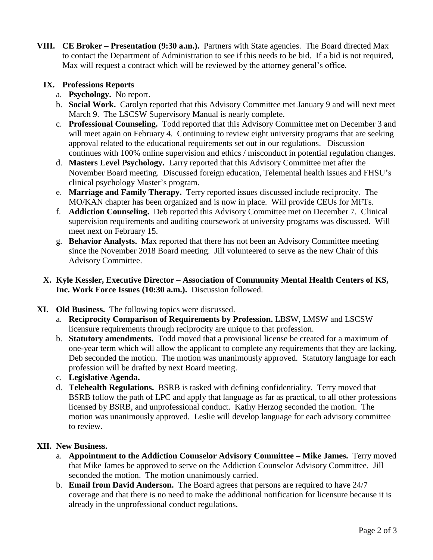**VIII. CE Broker – Presentation (9:30 a.m.).** Partners with State agencies. The Board directed Max to contact the Department of Administration to see if this needs to be bid. If a bid is not required, Max will request a contract which will be reviewed by the attorney general's office.

### **IX. Professions Reports**

- a. **Psychology.** No report.
- b. **Social Work.** Carolyn reported that this Advisory Committee met January 9 and will next meet March 9. The LSCSW Supervisory Manual is nearly complete.
- c. **Professional Counseling.** Todd reported that this Advisory Committee met on December 3 and will meet again on February 4. Continuing to review eight university programs that are seeking approval related to the educational requirements set out in our regulations. Discussion continues with 100% online supervision and ethics / misconduct in potential regulation changes.
- d. **Masters Level Psychology.** Larry reported that this Advisory Committee met after the November Board meeting. Discussed foreign education, Telemental health issues and FHSU's clinical psychology Master's program.
- e. **Marriage and Family Therapy.** Terry reported issues discussed include reciprocity. The MO/KAN chapter has been organized and is now in place. Will provide CEUs for MFTs.
- f. **Addiction Counseling.** Deb reported this Advisory Committee met on December 7. Clinical supervision requirements and auditing coursework at university programs was discussed. Will meet next on February 15.
- g. **Behavior Analysts.** Max reported that there has not been an Advisory Committee meeting since the November 2018 Board meeting. Jill volunteered to serve as the new Chair of this Advisory Committee.
- **X. Kyle Kessler, Executive Director – Association of Community Mental Health Centers of KS, Inc. Work Force Issues (10:30 a.m.).** Discussion followed.
- **XI. Old Business.** The following topics were discussed.
	- a. **Reciprocity Comparison of Requirements by Profession.** LBSW, LMSW and LSCSW licensure requirements through reciprocity are unique to that profession.
	- b. **Statutory amendments.** Todd moved that a provisional license be created for a maximum of one-year term which will allow the applicant to complete any requirements that they are lacking. Deb seconded the motion. The motion was unanimously approved. Statutory language for each profession will be drafted by next Board meeting.
	- c. **Legislative Agenda.**
	- d. **Telehealth Regulations.** BSRB is tasked with defining confidentiality. Terry moved that BSRB follow the path of LPC and apply that language as far as practical, to all other professions licensed by BSRB, and unprofessional conduct. Kathy Herzog seconded the motion. The motion was unanimously approved. Leslie will develop language for each advisory committee to review.

#### **XII. New Business.**

- a. **Appointment to the Addiction Counselor Advisory Committee – Mike James.** Terry moved that Mike James be approved to serve on the Addiction Counselor Advisory Committee. Jill seconded the motion. The motion unanimously carried.
- b. **Email from David Anderson.** The Board agrees that persons are required to have 24/7 coverage and that there is no need to make the additional notification for licensure because it is already in the unprofessional conduct regulations.